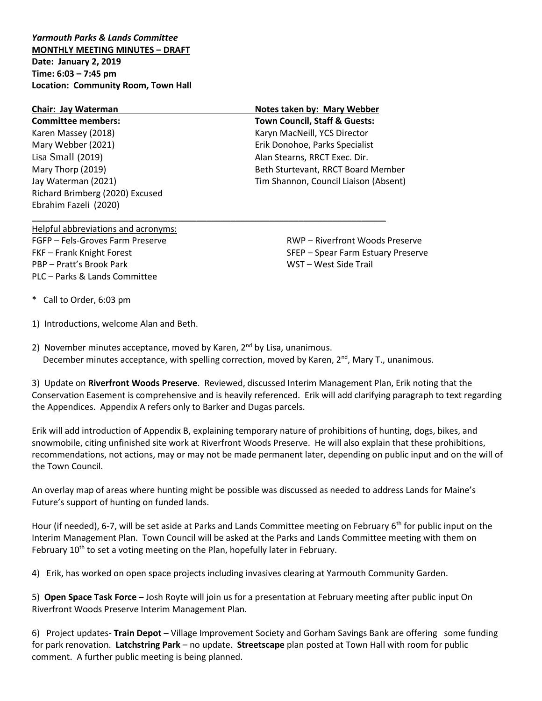*Yarmouth Parks & Lands Committee* **MONTHLY MEETING MINUTES – DRAFT Date: January 2, 2019 Time: 6:03 – 7:45 pm Location: Community Room, Town Hall**

## **Chair: Jay Waterman Notes taken by: Mary Webber Committee members: Town Council, Staff & Guests:** Karen Massey (2018) Karyn MacNeill, YCS Director Mary Webber (2021) Erik Donohoe, Parks Specialist Lisa Small (2019) Alan Stearns, RRCT Exec. Dir. Mary Thorp (2019) Beth Sturtevant, RRCT Board Member Jay Waterman (2021) Tim Shannon, Council Liaison (Absent) Richard Brimberg (2020) Excused Ebrahim Fazeli (2020)

\_\_\_\_\_\_\_\_\_\_\_\_\_\_\_\_\_\_\_\_\_\_\_\_\_\_\_\_\_\_\_\_\_\_\_\_\_\_\_\_\_\_\_\_\_\_\_\_\_\_\_\_\_\_\_\_\_\_\_\_\_\_\_\_\_\_\_\_\_\_\_\_\_

Helpful abbreviations and acronyms: FGFP – Fels-Groves Farm Preserve FKF – Frank Knight Forest PBP – Pratt's Brook Park PLC – Parks & Lands Committee

RWP – Riverfront Woods Preserve SFEP – Spear Farm Estuary Preserve WST – West Side Trail

\* Call to Order, 6:03 pm

1) Introductions, welcome Alan and Beth.

2) November minutes acceptance, moved by Karen,  $2^{nd}$  by Lisa, unanimous. December minutes acceptance, with spelling correction, moved by Karen,  $2^{nd}$ , Mary T., unanimous.

3) Update on **Riverfront Woods Preserve**. Reviewed, discussed Interim Management Plan, Erik noting that the Conservation Easement is comprehensive and is heavily referenced. Erik will add clarifying paragraph to text regarding the Appendices. Appendix A refers only to Barker and Dugas parcels.

Erik will add introduction of Appendix B, explaining temporary nature of prohibitions of hunting, dogs, bikes, and snowmobile, citing unfinished site work at Riverfront Woods Preserve. He will also explain that these prohibitions, recommendations, not actions, may or may not be made permanent later, depending on public input and on the will of the Town Council.

An overlay map of areas where hunting might be possible was discussed as needed to address Lands for Maine's Future's support of hunting on funded lands.

Hour (if needed), 6-7, will be set aside at Parks and Lands Committee meeting on February 6<sup>th</sup> for public input on the Interim Management Plan. Town Council will be asked at the Parks and Lands Committee meeting with them on February  $10<sup>th</sup>$  to set a voting meeting on the Plan, hopefully later in February.

4) Erik, has worked on open space projects including invasives clearing at Yarmouth Community Garden.

5) **Open Space Task Force –** Josh Royte will join us for a presentation at February meeting after public input On Riverfront Woods Preserve Interim Management Plan.

6) Project updates- **Train Depot** – Village Improvement Society and Gorham Savings Bank are offering some funding for park renovation. **Latchstring Park** – no update. **Streetscape** plan posted at Town Hall with room for public comment. A further public meeting is being planned.